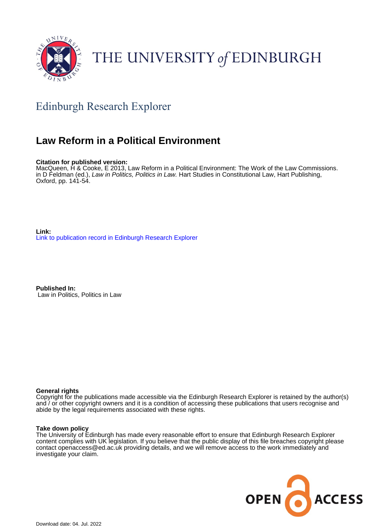

# THE UNIVERSITY of EDINBURGH

### Edinburgh Research Explorer

### **Law Reform in a Political Environment**

### **Citation for published version:**

MacQueen, H & Cooke, E 2013, Law Reform in a Political Environment: The Work of the Law Commissions. in D Feldman (ed.), Law in Politics, Politics in Law. Hart Studies in Constitutional Law, Hart Publishing, Oxford, pp. 141-54.

**Link:** [Link to publication record in Edinburgh Research Explorer](https://www.research.ed.ac.uk/en/publications/11510a66-de96-449a-bc16-d269bb5b4072)

**Published In:** Law in Politics, Politics in Law

### **General rights**

Copyright for the publications made accessible via the Edinburgh Research Explorer is retained by the author(s) and / or other copyright owners and it is a condition of accessing these publications that users recognise and abide by the legal requirements associated with these rights.

### **Take down policy**

The University of Edinburgh has made every reasonable effort to ensure that Edinburgh Research Explorer content complies with UK legislation. If you believe that the public display of this file breaches copyright please contact openaccess@ed.ac.uk providing details, and we will remove access to the work immediately and investigate your claim.

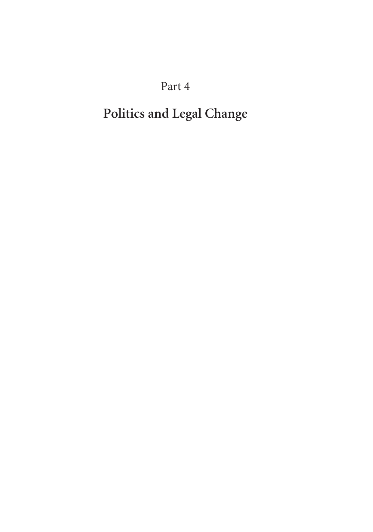### Part 4

## **Politics and Legal Change**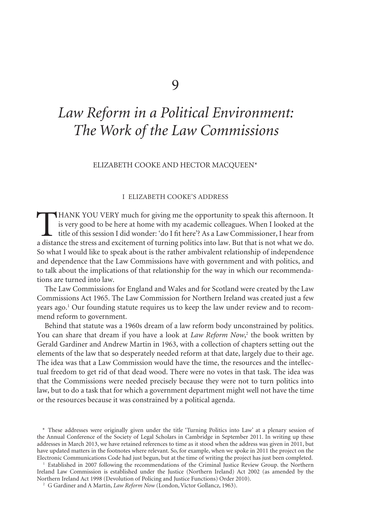### 9

### *Law Reform in a Political Environment: The Work of the Law Commissions*

#### ELIZABETH COOKE AND HECTOR MACQUEEN\*

#### I ELIZABETH COOKE'S ADDRESS

THANK YOU VERY much for giving me the opportunity to speak this afternoon. It<br>is very good to be here at home with my academic colleagues. When I looked at the<br>title of this session I did wonder: 'do I fit here'? As a Law is very good to be here at home with my academic colleagues. When I looked at the title of this session I did wonder: 'do I fit here'? As a Law Commissioner, I hear from a distance the stress and excitement of turning politics into law. But that is not what we do. So what I would like to speak about is the rather ambivalent relationship of independence and dependence that the Law Commissions have with government and with politics, and to talk about the implications of that relationship for the way in which our recommendations are turned into law.

The Law Commissions for England and Wales and for Scotland were created by the Law Commissions Act 1965. The Law Commission for Northern Ireland was created just a few years ago.<sup>1</sup> Our founding statute requires us to keep the law under review and to recommend reform to government.

Behind that statute was a 1960s dream of a law reform body unconstrained by politics. You can share that dream if you have a look at *Law Reform Now*,<sup>2</sup> the book written by Gerald Gardiner and Andrew Martin in 1963, with a collection of chapters setting out the elements of the law that so desperately needed reform at that date, largely due to their age. The idea was that a Law Commission would have the time, the resources and the intellectual freedom to get rid of that dead wood. There were no votes in that task. The idea was that the Commissions were needed precisely because they were not to turn politics into law, but to do a task that for which a government department might well not have the time or the resources because it was constrained by a political agenda.

<sup>\*</sup> These addresses were originally given under the title 'Turning Politics into Law' at a plenary session of the Annual Conference of the Society of Legal Scholars in Cambridge in September 2011. In writing up these addresses in March 2013, we have retained references to time as it stood when the address was given in 2011, but have updated matters in the footnotes where relevant. So, for example, when we spoke in 2011 the project on the Electronic Communications Code had just begun, but at the time of writing the project has just been completed.

<sup>1</sup> Established in 2007 following the recommendations of the Criminal Justice Review Group. the Northern Ireland Law Commission is established under the Justice (Northern Ireland) Act 2002 (as amended by the Northern Ireland Act 1998 (Devolution of Policing and Justice Functions) Order 2010).

<sup>&</sup>lt;sup>2</sup> G Gardiner and A Martin, *Law Reform Now* (London, Victor Gollancz, 1963).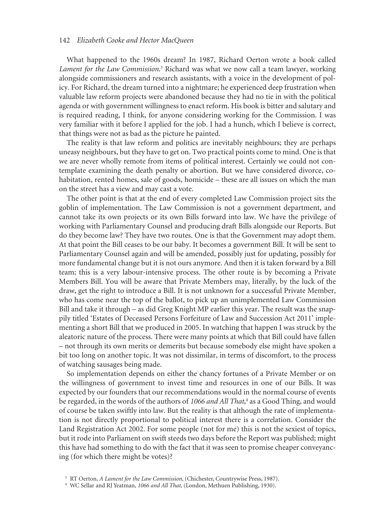What happened to the 1960s dream? In 1987, Richard Oerton wrote a book called Lament for the Law Commission.<sup>3</sup> Richard was what we now call a team lawyer, working alongside commissioners and research assistants, with a voice in the development of policy. For Richard, the dream turned into a nightmare; he experienced deep frustration when valuable law reform projects were abandoned because they had no tie in with the political agenda or with government willingness to enact reform. His book is bitter and salutary and is required reading, I think, for anyone considering working for the Commission. I was very familiar with it before I applied for the job. I had a hunch, which I believe is correct, that things were not as bad as the picture he painted.

The reality is that law reform and politics are inevitably neighbours; they are perhaps uneasy neighbours, but they have to get on. Two practical points come to mind. One is that we are never wholly remote from items of political interest. Certainly we could not contemplate examining the death penalty or abortion. But we have considered divorce, cohabitation, rented homes, sale of goods, homicide – these are all issues on which the man on the street has a view and may cast a vote.

The other point is that at the end of every completed Law Commission project sits the goblin of implementation. The Law Commission is not a government department, and cannot take its own projects or its own Bills forward into law. We have the privilege of working with Parliamentary Counsel and producing draft Bills alongside our Reports. But do they become law? They have two routes. One is that the Government may adopt them. At that point the Bill ceases to be our baby. It becomes a government Bill. It will be sent to Parliamentary Counsel again and will be amended, possibly just for updating, possibly for more fundamental change but it is not ours anymore. And then it is taken forward by a Bill team; this is a very labour-intensive process. The other route is by becoming a Private Members Bill. You will be aware that Private Members may, literally, by the luck of the draw, get the right to introduce a Bill. It is not unknown for a successful Private Member, who has come near the top of the ballot, to pick up an unimplemented Law Commission Bill and take it through – as did Greg Knight MP earlier this year. The result was the snappily titled 'Estates of Deceased Persons Forfeiture of Law and Succession Act 2011' implementing a short Bill that we produced in 2005. In watching that happen I was struck by the aleatoric nature of the process. There were many points at which that Bill could have fallen – not through its own merits or demerits but because somebody else might have spoken a bit too long on another topic. It was not dissimilar, in terms of discomfort, to the process of watching sausages being made.

So implementation depends on either the chancy fortunes of a Private Member or on the willingness of government to invest time and resources in one of our Bills. It was expected by our founders that our recommendations would in the normal course of events be regarded, in the words of the authors of *1066 and All That*, 4 as a Good Thing, and would of course be taken swiftly into law. But the reality is that although the rate of implementation is not directly proportional to political interest there is a correlation. Consider the Land Registration Act 2002. For some people (not for me) this is not the sexiest of topics, but it rode into Parliament on swift steeds two days before the Report was published; might this have had something to do with the fact that it was seen to promise cheaper conveyancing (for which there might be votes)?

<sup>3</sup> RT Oerton, *A Lament for the Law Commission*, (Chichester, Countrywise Press, 1987).

<sup>4</sup> WC Sellar and RJ Yeatman, *1066 and All That,* (London, Methuen Publishing, 1930).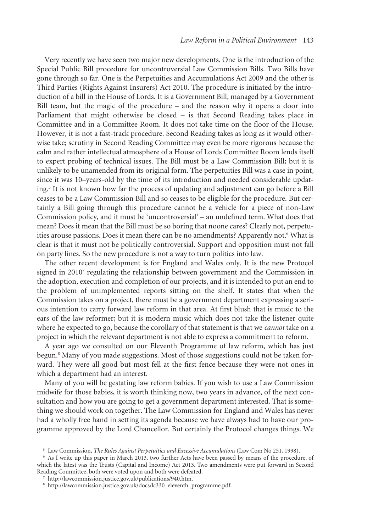Very recently we have seen two major new developments. One is the introduction of the Special Public Bill procedure for uncontroversial Law Commission Bills. Two Bills have gone through so far. One is the Perpetuities and Accumulations Act 2009 and the other is Third Parties (Rights Against Insurers) Act 2010. The procedure is initiated by the introduction of a bill in the House of Lords. It is a Government Bill, managed by a Government Bill team, but the magic of the procedure – and the reason why it opens a door into Parliament that might otherwise be closed – is that Second Reading takes place in Committee and in a Committee Room. It does not take time on the floor of the House. However, it is not a fast-track procedure. Second Reading takes as long as it would otherwise take; scrutiny in Second Reading Committee may even be more rigorous because the calm and rather intellectual atmosphere of a House of Lords Committee Room lends itself to expert probing of technical issues. The Bill must be a Law Commission Bill; but it is unlikely to be unamended from its original form. The perpetuities Bill was a case in point, since it was 10–years-old by the time of its introduction and needed considerable updating.5 It is not known how far the process of updating and adjustment can go before a Bill ceases to be a Law Commission Bill and so ceases to be eligible for the procedure. But certainly a Bill going through this procedure cannot be a vehicle for a piece of non-Law Commission policy, and it must be 'uncontroversial' – an undefined term. What does that mean? Does it mean that the Bill must be so boring that noone cares? Clearly not, perpetuities arouse passions. Does it mean there can be no amendments? Apparently not.<sup>6</sup> What is clear is that it must not be politically controversial. Support and opposition must not fall on party lines. So the new procedure is not a way to turn politics into law.

The other recent development is for England and Wales only. It is the new Protocol signed in 2010<sup>7</sup> regulating the relationship between government and the Commission in the adoption, execution and completion of our projects, and it is intended to put an end to the problem of unimplemented reports sitting on the shelf. It states that when the Commission takes on a project, there must be a government department expressing a serious intention to carry forward law reform in that area. At first blush that is music to the ears of the law reformer; but it is modern music which does not take the listener quite where he expected to go, because the corollary of that statement is that we *cannot* take on a project in which the relevant department is not able to express a commitment to reform.

A year ago we consulted on our Eleventh Programme of law reform, which has just begun.<sup>8</sup> Many of you made suggestions. Most of those suggestions could not be taken forward. They were all good but most fell at the first fence because they were not ones in which a department had an interest.

Many of you will be gestating law reform babies. If you wish to use a Law Commission midwife for those babies, it is worth thinking now, two years in advance, of the next consultation and how you are going to get a government department interested. That is something we should work on together. The Law Commission for England and Wales has never had a wholly free hand in setting its agenda because we have always had to have our programme approved by the Lord Chancellor. But certainly the Protocol changes things. We

<sup>5</sup> Law Commission, *The Rules Against Perpetuities and Excessive Accumulations* (Law Com No 251, 1998).

<sup>6</sup> As I write up this paper in March 2013, two further Acts have been passed by means of the procedure, of which the latest was the Trusts (Capital and Income) Act 2013. Two amendments were put forward in Second Reading Committee, both were voted upon and both were defeated.

<sup>&</sup>lt;sup>7</sup> http://lawcommission.justice.gov.uk/publications/940.htm.

<sup>8</sup> http://lawcommission.justice.gov.uk/docs/lc330\_eleventh\_programme.pdf.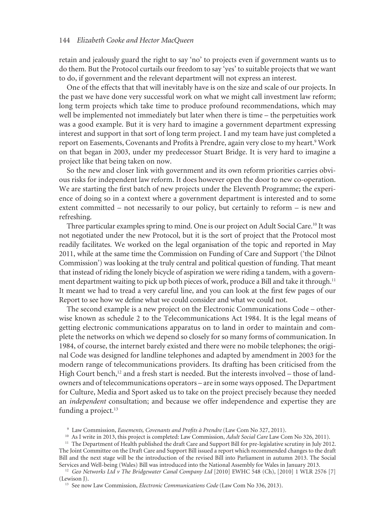### 144 *Elizabeth Cooke and Hector MacQueen*

retain and jealously guard the right to say 'no' to projects even if government wants us to do them. But the Protocol curtails our freedom to say 'yes' to suitable projects that we want to do, if government and the relevant department will not express an interest.

One of the effects that that will inevitably have is on the size and scale of our projects. In the past we have done very successful work on what we might call investment law reform; long term projects which take time to produce profound recommendations, which may well be implemented not immediately but later when there is time – the perpetuities work was a good example. But it is very hard to imagine a government department expressing interest and support in that sort of long term project. I and my team have just completed a report on Easements, Covenants and Profits à Prendre, again very close to my heart.<sup>9</sup> Work on that began in 2003, under my predecessor Stuart Bridge. It is very hard to imagine a project like that being taken on now.

So the new and closer link with government and its own reform priorities carries obvious risks for independent law reform. It does however open the door to new co-operation. We are starting the first batch of new projects under the Eleventh Programme; the experience of doing so in a context where a government department is interested and to some extent committed – not necessarily to our policy, but certainly to reform – is new and refreshing.

Three particular examples spring to mind. One is our project on Adult Social Care.10 It was not negotiated under the new Protocol, but it is the sort of project that the Protocol most readily facilitates. We worked on the legal organisation of the topic and reported in May 2011, while at the same time the Commission on Funding of Care and Support ('the Dilnot Commission') was looking at the truly central and political question of funding. That meant that instead of riding the lonely bicycle of aspiration we were riding a tandem, with a government department waiting to pick up both pieces of work, produce a Bill and take it through.<sup>11</sup> It meant we had to tread a very careful line, and you can look at the first few pages of our Report to see how we define what we could consider and what we could not.

The second example is a new project on the Electronic Communications Code – otherwise known as schedule 2 to the Telecommunications Act 1984. It is the legal means of getting electronic communications apparatus on to land in order to maintain and complete the networks on which we depend so closely for so many forms of communication. In 1984, of course, the internet barely existed and there were no mobile telephones; the original Code was designed for landline telephones and adapted by amendment in 2003 for the modern range of telecommunications providers. Its drafting has been criticised from the High Court bench,<sup>12</sup> and a fresh start is needed. But the interests involved – those of landowners and of telecommunications operators – are in some ways opposed. The Department for Culture, Media and Sport asked us to take on the project precisely because they needed an *independent* consultation; and because we offer independence and expertise they are funding a project.<sup>13</sup>

<sup>9</sup> Law Commission, *Easements, Covenants and Profits à Prendre* (Law Com No 327, 2011).

<sup>10</sup> As I write in 2013, this project is completed: Law Commission, *Adult Social Care* Law Com No 326, 2011).

<sup>12</sup> Geo Networks Ltd v The Bridgewater Canal Company Ltd [2010] EWHC 548 (Ch), [2010] 1 WLR 2576 [7] (Lewison J).

<sup>&</sup>lt;sup>11</sup> The Department of Health published the draft Care and Support Bill for pre-legislative scrutiny in July 2012. The Joint Committee on the Draft Care and Support Bill issued a report which recommended changes to the draft Bill and the next stage will be the introduction of the revised Bill into Parliament in autumn 2013. The Social

<sup>&</sup>lt;sup>13</sup> See now Law Commission, *Electronic Communications Code* (Law Com No 336, 2013).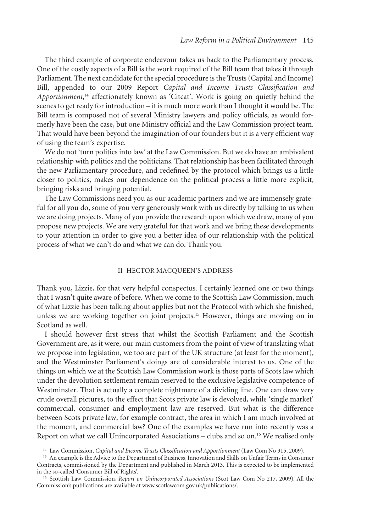The third example of corporate endeavour takes us back to the Parliamentary process. One of the costly aspects of a Bill is the work required of the Bill team that takes it through Parliament. The next candidate for the special procedure is the Trusts (Capital and Income) Bill, appended to our 2009 Report *Capital and Income Trusts Classification and Apportionment*, 14 affectionately known as 'Citcat'. Work is going on quietly behind the scenes to get ready for introduction – it is much more work than I thought it would be. The Bill team is composed not of several Ministry lawyers and policy officials, as would formerly have been the case, but one Ministry official and the Law Commission project team. That would have been beyond the imagination of our founders but it is a very efficient way of using the team's expertise.

We do not 'turn politics into law' at the Law Commission. But we do have an ambivalent relationship with politics and the politicians. That relationship has been facilitated through the new Parliamentary procedure, and redefined by the protocol which brings us a little closer to politics, makes our dependence on the political process a little more explicit, bringing risks and bringing potential.

The Law Commissions need you as our academic partners and we are immensely grateful for all you do, some of you very generously work with us directly by talking to us when we are doing projects. Many of you provide the research upon which we draw, many of you propose new projects. We are very grateful for that work and we bring these developments to your attention in order to give you a better idea of our relationship with the political process of what we can't do and what we can do. Thank you.

#### II HECTOR MACQUEEN'S ADDRESS

Thank you, Lizzie, for that very helpful conspectus. I certainly learned one or two things that I wasn't quite aware of before. When we come to the Scottish Law Commission, much of what Lizzie has been talking about applies but not the Protocol with which she finished, unless we are working together on joint projects.15 However, things are moving on in Scotland as well.

I should however first stress that whilst the Scottish Parliament and the Scottish Government are, as it were, our main customers from the point of view of translating what we propose into legislation, we too are part of the UK structure (at least for the moment), and the Westminster Parliament's doings are of considerable interest to us. One of the things on which we at the Scottish Law Commission work is those parts of Scots law which under the devolution settlement remain reserved to the exclusive legislative competence of Westminster. That is actually a complete nightmare of a dividing line. One can draw very crude overall pictures, to the effect that Scots private law is devolved, while 'single market' commercial, consumer and employment law are reserved. But what is the difference between Scots private law, for example contract, the area in which I am much involved at the moment, and commercial law? One of the examples we have run into recently was a Report on what we call Unincorporated Associations - clubs and so on.<sup>16</sup> We realised only

<sup>&</sup>lt;sup>14</sup> Law Commission, *Capital and Income Trusts Classification and Apportionment* (Law Com No 315, 2009).

<sup>&</sup>lt;sup>15</sup> An example is the Advice to the Department of Business, Innovation and Skills on Unfair Terms in Consumer Contracts, commissioned by the Department and published in March 2013. This is expected to be implemented in the so-called 'Consumer Bill of Rights'.

<sup>16</sup> Scottish Law Commission, *Report on Unincorporated Associations* (Scot Law Com No 217, 2009). All the Commission's publications are available at www.scotlawcom.gov.uk/publications/.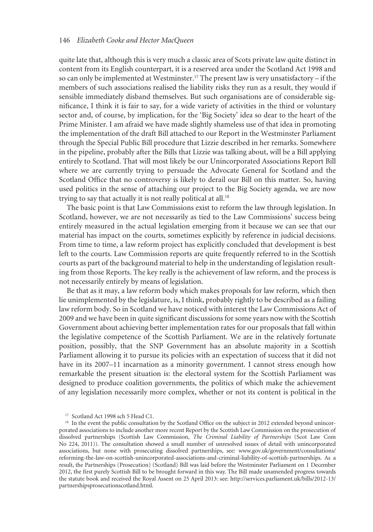quite late that, although this is very much a classic area of Scots private law quite distinct in content from its English counterpart, it is a reserved area under the Scotland Act 1998 and so can only be implemented at Westminster.17 The present law is very unsatisfactory – if the members of such associations realised the liability risks they run as a result, they would if sensible immediately disband themselves. But such organisations are of considerable significance, I think it is fair to say, for a wide variety of activities in the third or voluntary sector and, of course, by implication, for the 'Big Society' idea so dear to the heart of the Prime Minister. I am afraid we have made slightly shameless use of that idea in promoting the implementation of the draft Bill attached to our Report in the Westminster Parliament through the Special Public Bill procedure that Lizzie described in her remarks. Somewhere in the pipeline, probably after the Bills that Lizzie was talking about, will be a Bill applying entirely to Scotland. That will most likely be our Unincorporated Associations Report Bill where we are currently trying to persuade the Advocate General for Scotland and the Scotland Office that no controversy is likely to derail our Bill on this matter. So, having used politics in the sense of attaching our project to the Big Society agenda, we are now trying to say that actually it is not really political at all.<sup>18</sup>

The basic point is that Law Commissions exist to reform the law through legislation. In Scotland, however, we are not necessarily as tied to the Law Commissions' success being entirely measured in the actual legislation emerging from it because we can see that our material has impact on the courts, sometimes explicitly by reference in judicial decisions. From time to time, a law reform project has explicitly concluded that development is best left to the courts. Law Commission reports are quite frequently referred to in the Scottish courts as part of the background material to help in the understanding of legislation resulting from those Reports. The key really is the achievement of law reform, and the process is not necessarily entirely by means of legislation.

Be that as it may, a law reform body which makes proposals for law reform, which then lie unimplemented by the legislature, is, I think, probably rightly to be described as a failing law reform body. So in Scotland we have noticed with interest the Law Commissions Act of 2009 and we have been in quite significant discussions for some years now with the Scottish Government about achieving better implementation rates for our proposals that fall within the legislative competence of the Scottish Parliament. We are in the relatively fortunate position, possibly, that the SNP Government has an absolute majority in a Scottish Parliament allowing it to pursue its policies with an expectation of success that it did not have in its 2007–11 incarnation as a minority government. I cannot stress enough how remarkable the present situation is: the electoral system for the Scottish Parliament was designed to produce coalition governments, the politics of which make the achievement of any legislation necessarily more complex, whether or not its content is political in the

<sup>&</sup>lt;sup>17</sup> Scotland Act 1998 sch 5 Head C1.

<sup>&</sup>lt;sup>18</sup> In the event the public consultation by the Scotland Office on the subject in 2012 extended beyond unincorporated associations to include another more recent Report by the Scottish Law Commission on the prosecution of dissolved partnerships (Scottish Law Commission, *The Criminal Liability of Partnerships* (Scot Law Com No 224, 2011)). The consultation showed a small number of unresolved issues of detail with unincorporated associations, but none with prosecuting dissolved partnerships, see: www.gov.uk/government/consultations/ reforming-the-law-on-scottish-unincorporated-associations-and-criminal-liability-of-scottish-partnerships. As a result, the Partnerships (Prosecution) (Scotland) Bill was laid before the Westminster Parliament on 1 December 2012, the first purely Scottish Bill to be brought forward in this way. The Bill made unamended progress towards the statute book and received the Royal Assent on 25 April 2013: see: http://services.parliament.uk/bills/2012-13/ partnershipsprosecutionscotland.html.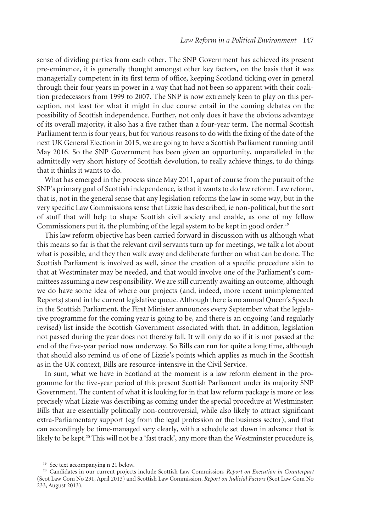sense of dividing parties from each other. The SNP Government has achieved its present pre-eminence, it is generally thought amongst other key factors, on the basis that it was managerially competent in its first term of office, keeping Scotland ticking over in general through their four years in power in a way that had not been so apparent with their coalition predecessors from 1999 to 2007. The SNP is now extremely keen to play on this perception, not least for what it might in due course entail in the coming debates on the possibility of Scottish independence. Further, not only does it have the obvious advantage of its overall majority, it also has a five rather than a four-year term. The normal Scottish Parliament term is four years, but for various reasons to do with the fixing of the date of the next UK General Election in 2015, we are going to have a Scottish Parliament running until May 2016. So the SNP Government has been given an opportunity, unparalleled in the admittedly very short history of Scottish devolution, to really achieve things, to do things that it thinks it wants to do.

What has emerged in the process since May 2011, apart of course from the pursuit of the SNP's primary goal of Scottish independence, is that it wants to do law reform. Law reform, that is, not in the general sense that any legislation reforms the law in some way, but in the very specific Law Commissions sense that Lizzie has described, ie non-political, but the sort of stuff that will help to shape Scottish civil society and enable, as one of my fellow Commissioners put it, the plumbing of the legal system to be kept in good order.<sup>19</sup>

This law reform objective has been carried forward in discussion with us although what this means so far is that the relevant civil servants turn up for meetings, we talk a lot about what is possible, and they then walk away and deliberate further on what can be done. The Scottish Parliament is involved as well, since the creation of a specific procedure akin to that at Westminster may be needed, and that would involve one of the Parliament's committees assuming a new responsibility. We are still currently awaiting an outcome, although we do have some idea of where our projects (and, indeed, more recent unimplemented Reports) stand in the current legislative queue. Although there is no annual Queen's Speech in the Scottish Parliament, the First Minister announces every September what the legislative programme for the coming year is going to be, and there is an ongoing (and regularly revised) list inside the Scottish Government associated with that. In addition, legislation not passed during the year does not thereby fall. It will only do so if it is not passed at the end of the five-year period now underway. So Bills can run for quite a long time, although that should also remind us of one of Lizzie's points which applies as much in the Scottish as in the UK context, Bills are resource-intensive in the Civil Service.

In sum, what we have in Scotland at the moment is a law reform element in the programme for the five-year period of this present Scottish Parliament under its majority SNP Government. The content of what it is looking for in that law reform package is more or less precisely what Lizzie was describing as coming under the special procedure at Westminster: Bills that are essentially politically non-controversial, while also likely to attract significant extra-Parliamentary support (eg from the legal profession or the business sector), and that can accordingly be time-managed very clearly, with a schedule set down in advance that is likely to be kept.<sup>20</sup> This will not be a 'fast track', any more than the Westminster procedure is,

<sup>&</sup>lt;sup>19</sup> See text accompanying n 21 below.

<sup>20</sup> Candidates in our current projects include Scottish Law Commission, *Report on Execution in Counterpart* (Scot Law Com No 231, April 2013) and Scottish Law Commission, *Report on Judicial Factors* (Scot Law Com No 233, August 2013).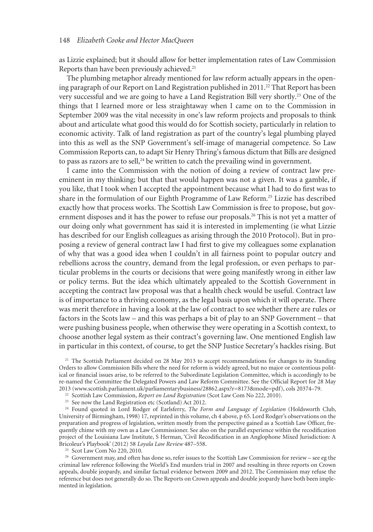### 148 *Elizabeth Cooke and Hector MacQueen*

as Lizzie explained; but it should allow for better implementation rates of Law Commission Reports than have been previously achieved.<sup>21</sup>

The plumbing metaphor already mentioned for law reform actually appears in the opening paragraph of our Report on Land Registration published in 2011.<sup>22</sup> That Report has been very successful and we are going to have a Land Registration Bill very shortly.23 One of the things that I learned more or less straightaway when I came on to the Commission in September 2009 was the vital necessity in one's law reform projects and proposals to think about and articulate what good this would do for Scottish society, particularly in relation to economic activity. Talk of land registration as part of the country's legal plumbing played into this as well as the SNP Government's self-image of managerial competence. So Law Commission Reports can, to adapt Sir Henry Thring's famous dictum that Bills are designed to pass as razors are to sell, $24$  be written to catch the prevailing wind in government.

I came into the Commission with the notion of doing a review of contract law preeminent in my thinking; but that that would happen was not a given. It was a gamble, if you like, that I took when I accepted the appointment because what I had to do first was to share in the formulation of our Eighth Programme of Law Reform.25 Lizzie has described exactly how that process works. The Scottish Law Commission is free to propose, but government disposes and it has the power to refuse our proposals.<sup>26</sup> This is not yet a matter of our doing only what government has said it is interested in implementing (ie what Lizzie has described for our English colleagues as arising through the 2010 Protocol). But in proposing a review of general contract law I had first to give my colleagues some explanation of why that was a good idea when I couldn't in all fairness point to popular outcry and rebellions across the country, demand from the legal profession, or even perhaps to particular problems in the courts or decisions that were going manifestly wrong in either law or policy terms. But the idea which ultimately appealed to the Scottish Government in accepting the contract law proposal was that a health check would be useful. Contract law is of importance to a thriving economy, as the legal basis upon which it will operate. There was merit therefore in having a look at the law of contract to see whether there are rules or factors in the Scots law – and this was perhaps a bit of play to an SNP Government – that were pushing business people, when otherwise they were operating in a Scottish context, to choose another legal system as their contract's governing law. One mentioned English law in particular in this context, of course, to get the SNP Justice Secretary's hackles rising. But

<sup>21</sup> The Scottish Parliament decided on 28 May 2013 to accept recommendations for changes to its Standing Orders to allow Commission Bills where the need for reform is widely agreed, but no major or contentious political or financial issues arise, to be referred to the Subordinate Legislation Committee, which is accordingly to be re-named the Committee the Delegated Powers and Law Reform Committee. See the Official Report for 28 May 2013 (www.scottish.parliament.uk/parliamentarybusiness/28862.aspx?r=8173&mode=pdf), cols 20374–79.<br><sup>22</sup> Scottish Law Commission, *Report on Land Registration* (Scot Law Com No 222, 2010).

<sup>23</sup> See now the Land Registration etc (Scotland) Act 2012.<br><sup>24</sup> Found quoted in Lord Rodger of Earlsferry, *The Form and Language of Legislation* (Holdsworth Club, University of Birmingham, 1998) 17, reprinted in this volume, ch 4 above, p 65. Lord Rodger's observations on the preparation and progress of legislation, written mostly from the perspective gained as a Scottish Law Officer, frequently chime with my own as a Law Commissioner. See also on the parallel experience within the recodification project of the Louisiana Law Institute, S Herman, 'Civil Recodification in an Anglophone Mixed Jurisdiction: A Bricoleur's Playbook' (2012) 58 *Loyala Law Review* 487–558.

<sup>26</sup> Government may, and often has done so, refer issues to the Scottish Law Commission for review – see eg the criminal law reference following the World's End murders trial in 2007 and resulting in three reports on Crown appeals, double jeopardy, and similar factual evidence between 2009 and 2012. The Commission may refuse the reference but does not generally do so. The Reports on Crown appeals and double jeopardy have both been implemented in legislation.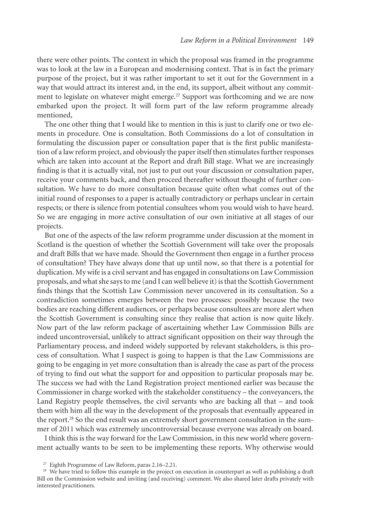there were other points. The context in which the proposal was framed in the programme was to look at the law in a European and modernising context. That is in fact the primary purpose of the project, but it was rather important to set it out for the Government in a way that would attract its interest and, in the end, its support, albeit without any commitment to legislate on whatever might emerge.<sup>27</sup> Support was forthcoming and we are now embarked upon the project. It will form part of the law reform programme already mentioned,

The one other thing that I would like to mention in this is just to clarify one or two elements in procedure. One is consultation. Both Commissions do a lot of consultation in formulating the discussion paper or consultation paper that is the first public manifestation of a law reform project, and obviously the paper itself then stimulates further responses which are taken into account at the Report and draft Bill stage. What we are increasingly finding is that it is actually vital, not just to put out your discussion or consultation paper, receive your comments back, and then proceed thereafter without thought of further consultation. We have to do more consultation because quite often what comes out of the initial round of responses to a paper is actually contradictory or perhaps unclear in certain respects; or there is silence from potential consultees whom you would wish to have heard. So we are engaging in more active consultation of our own initiative at all stages of our projects.

But one of the aspects of the law reform programme under discussion at the moment in Scotland is the question of whether the Scottish Government will take over the proposals and draft Bills that we have made. Should the Government then engage in a further process of consultation? They have always done that up until now, so that there is a potential for duplication. My wife is a civil servant and has engaged in consultations on Law Commission proposals, and what she says to me (and I can well believe it) is that the Scottish Government finds things that the Scottish Law Commission never uncovered in its consultation. So a contradiction sometimes emerges between the two processes: possibly because the two bodies are reaching different audiences, or perhaps because consultees are more alert when the Scottish Government is consulting since they realise that action is now quite likely. Now part of the law reform package of ascertaining whether Law Commission Bills are indeed uncontroversial, unlikely to attract significant opposition on their way through the Parliamentary process, and indeed widely supported by relevant stakeholders, is this process of consultation. What I suspect is going to happen is that the Law Commissions are going to be engaging in yet more consultation than is already the case as part of the process of trying to find out what the support for and opposition to particular proposals may be. The success we had with the Land Registration project mentioned earlier was because the Commissioner in charge worked with the stakeholder constituency – the conveyancers, the Land Registry people themselves, the civil servants who are backing all that – and took them with him all the way in the development of the proposals that eventually appeared in the report.<sup>28</sup> So the end result was an extremely short government consultation in the summer of 2011 which was extremely uncontroversial because everyone was already on board.

I think this is the way forward for the Law Commission, in this new world where government actually wants to be seen to be implementing these reports. Why otherwise would

<sup>27</sup> Eighth Programme of Law Reform, paras 2.16–2.21.

<sup>&</sup>lt;sup>28</sup> We have tried to follow this example in the project on execution in counterpart as well as publishing a draft Bill on the Commission website and inviting (and receiving) comment. We also shared later drafts privately with interested practitioners.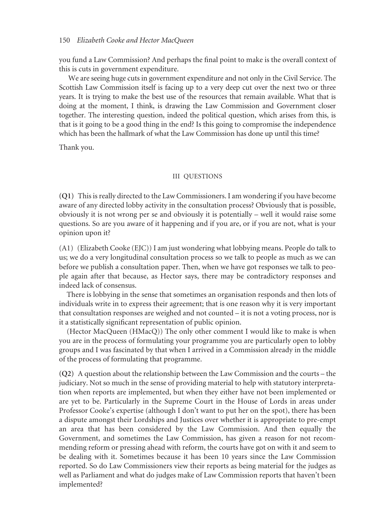you fund a Law Commission? And perhaps the final point to make is the overall context of this is cuts in government expenditure.

 We are seeing huge cuts in government expenditure and not only in the Civil Service. The Scottish Law Commission itself is facing up to a very deep cut over the next two or three years. It is trying to make the best use of the resources that remain available. What that is doing at the moment, I think, is drawing the Law Commission and Government closer together. The interesting question, indeed the political question, which arises from this, is that is it going to be a good thing in the end? Is this going to compromise the independence which has been the hallmark of what the Law Commission has done up until this time?

Thank you.

#### III QUESTIONS

**(Q1)** This is really directed to the Law Commissioners. I am wondering if you have become aware of any directed lobby activity in the consultation process? Obviously that is possible, obviously it is not wrong per se and obviously it is potentially – well it would raise some questions. So are you aware of it happening and if you are, or if you are not, what is your opinion upon it?

(A1) (Elizabeth Cooke (EJC)) I am just wondering what lobbying means. People do talk to us; we do a very longitudinal consultation process so we talk to people as much as we can before we publish a consultation paper. Then, when we have got responses we talk to people again after that because, as Hector says, there may be contradictory responses and indeed lack of consensus.

There is lobbying in the sense that sometimes an organisation responds and then lots of individuals write in to express their agreement; that is one reason why it is very important that consultation responses are weighed and not counted – it is not a voting process, nor is it a statistically significant representation of public opinion.

(Hector MacQueen (HMacQ)) The only other comment I would like to make is when you are in the process of formulating your programme you are particularly open to lobby groups and I was fascinated by that when I arrived in a Commission already in the middle of the process of formulating that programme.

**(Q2)** A question about the relationship between the Law Commission and the courts – the judiciary. Not so much in the sense of providing material to help with statutory interpretation when reports are implemented, but when they either have not been implemented or are yet to be. Particularly in the Supreme Court in the House of Lords in areas under Professor Cooke's expertise (although I don't want to put her on the spot), there has been a dispute amongst their Lordships and Justices over whether it is appropriate to pre-empt an area that has been considered by the Law Commission. And then equally the Government, and sometimes the Law Commission, has given a reason for not recommending reform or pressing ahead with reform, the courts have got on with it and seem to be dealing with it. Sometimes because it has been 10 years since the Law Commission reported. So do Law Commissioners view their reports as being material for the judges as well as Parliament and what do judges make of Law Commission reports that haven't been implemented?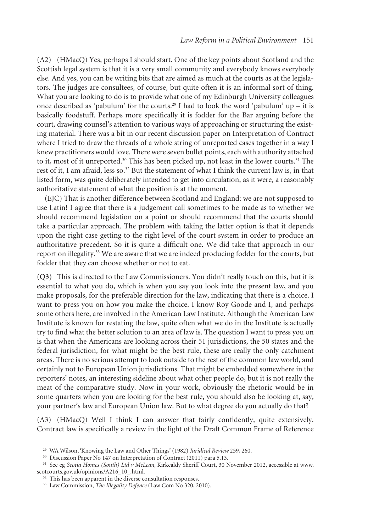(A2) (HMacQ) Yes, perhaps I should start. One of the key points about Scotland and the Scottish legal system is that it is a very small community and everybody knows everybody else. And yes, you can be writing bits that are aimed as much at the courts as at the legislators. The judges are consultees, of course, but quite often it is an informal sort of thing. What you are looking to do is to provide what one of my Edinburgh University colleagues once described as 'pabulum' for the courts.<sup>29</sup> I had to look the word 'pabulum' up – it is basically foodstuff. Perhaps more specifically it is fodder for the Bar arguing before the court, drawing counsel's attention to various ways of approaching or structuring the existing material. There was a bit in our recent discussion paper on Interpretation of Contract where I tried to draw the threads of a whole string of unreported cases together in a way I knew practitioners would love. There were seven bullet points, each with authority attached to it, most of it unreported.<sup>30</sup> This has been picked up, not least in the lower courts.<sup>31</sup> The rest of it, I am afraid, less so.32 But the statement of what I think the current law is, in that listed form, was quite deliberately intended to get into circulation, as it were, a reasonably authoritative statement of what the position is at the moment.

(EJC) That is another difference between Scotland and England: we are not supposed to use Latin! I agree that there is a judgement call sometimes to be made as to whether we should recommend legislation on a point or should recommend that the courts should take a particular approach. The problem with taking the latter option is that it depends upon the right case getting to the right level of the court system in order to produce an authoritative precedent. So it is quite a difficult one. We did take that approach in our report on illegality.<sup>33</sup> We are aware that we are indeed producing fodder for the courts, but fodder that they can choose whether or not to eat.

**(Q3)** This is directed to the Law Commissioners. You didn't really touch on this, but it is essential to what you do, which is when you say you look into the present law, and you make proposals, for the preferable direction for the law, indicating that there is a choice. I want to press you on how you make the choice. I know Roy Goode and I, and perhaps some others here, are involved in the American Law Institute. Although the American Law Institute is known for restating the law, quite often what we do in the Institute is actually try to find what the better solution to an area of law is. The question I want to press you on is that when the Americans are looking across their 51 jurisdictions, the 50 states and the federal jurisdiction, for what might be the best rule, these are really the only catchment areas. There is no serious attempt to look outside to the rest of the common law world, and certainly not to European Union jurisdictions. That might be embedded somewhere in the reporters' notes, an interesting sideline about what other people do, but it is not really the meat of the comparative study. Now in your work, obviously the rhetoric would be in some quarters when you are looking for the best rule, you should also be looking at, say, your partner's law and European Union law. But to what degree do you actually do that?

(A3) (HMacQ) Well I think I can answer that fairly confidently, quite extensively. Contract law is specifically a review in the light of the Draft Common Frame of Reference

<sup>29</sup> WA Wilson, 'Knowing the Law and Other Things' (1982) *Juridical Review* 259, 260.

<sup>&</sup>lt;sup>30</sup> Discussion Paper No 147 on Interpretation of Contract (2011) para 5.13.

<sup>&</sup>lt;sup>31</sup> See eg *Scotia Homes (South) Ltd v McLean*, Kirkcaldy Sheriff Court, 30 November 2012, accessible at www.<br>scotcourts.gov.uk/opinions/A216\_10\_.html.

<sup>&</sup>lt;sup>32</sup> This has been apparent in the diverse consultation responses.<br><sup>33</sup> Law Commission, *The Illegality Defence* (Law Com No 320, 2010).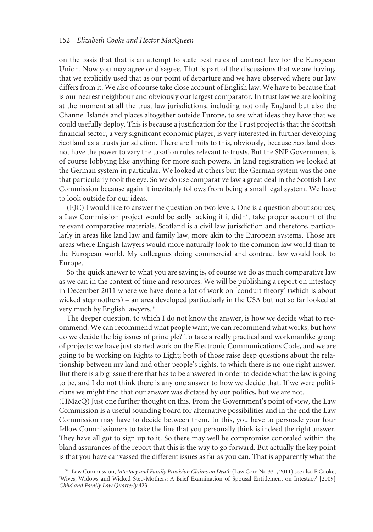#### 152 *Elizabeth Cooke and Hector MacQueen*

on the basis that that is an attempt to state best rules of contract law for the European Union. Now you may agree or disagree. That is part of the discussions that we are having, that we explicitly used that as our point of departure and we have observed where our law differs from it. We also of course take close account of English law. We have to because that is our nearest neighbour and obviously our largest comparator. In trust law we are looking at the moment at all the trust law jurisdictions, including not only England but also the Channel Islands and places altogether outside Europe, to see what ideas they have that we could usefully deploy. This is because a justification for the Trust project is that the Scottish financial sector, a very significant economic player, is very interested in further developing Scotland as a trusts jurisdiction. There are limits to this, obviously, because Scotland does not have the power to vary the taxation rules relevant to trusts. But the SNP Government is of course lobbying like anything for more such powers. In land registration we looked at the German system in particular. We looked at others but the German system was the one that particularly took the eye. So we do use comparative law a great deal in the Scottish Law Commission because again it inevitably follows from being a small legal system. We have to look outside for our ideas.

(EJC) I would like to answer the question on two levels. One is a question about sources; a Law Commission project would be sadly lacking if it didn't take proper account of the relevant comparative materials. Scotland is a civil law jurisdiction and therefore, particularly in areas like land law and family law, more akin to the European systems. Those are areas where English lawyers would more naturally look to the common law world than to the European world. My colleagues doing commercial and contract law would look to Europe.

So the quick answer to what you are saying is, of course we do as much comparative law as we can in the context of time and resources. We will be publishing a report on intestacy in December 2011 where we have done a lot of work on 'conduit theory' (which is about wicked stepmothers) – an area developed particularly in the USA but not so far looked at very much by English lawyers.<sup>34</sup>

The deeper question, to which I do not know the answer, is how we decide what to recommend. We can recommend what people want; we can recommend what works; but how do we decide the big issues of principle? To take a really practical and workmanlike group of projects: we have just started work on the Electronic Communications Code, and we are going to be working on Rights to Light; both of those raise deep questions about the relationship between my land and other people's rights, to which there is no one right answer. But there is a big issue there that has to be answered in order to decide what the law is going to be, and I do not think there is any one answer to how we decide that. If we were politicians we might find that our answer was dictated by our politics, but we are not.

(HMacQ) Just one further thought on this. From the Government's point of view, the Law Commission is a useful sounding board for alternative possibilities and in the end the Law Commission may have to decide between them. In this, you have to persuade your four fellow Commissioners to take the line that you personally think is indeed the right answer. They have all got to sign up to it. So there may well be compromise concealed within the bland assurances of the report that this is the way to go forward. But actually the key point is that you have canvassed the different issues as far as you can. That is apparently what the

<sup>34</sup> Law Commission, *Intestacy and Family Provision Claims on Death* (Law Com No 331, 2011) see also E Cooke, 'Wives, Widows and Wicked Step-Mothers: A Brief Examination of Spousal Entitlement on Intestacy' [2009] *Child and Family Law Quarterly* 423.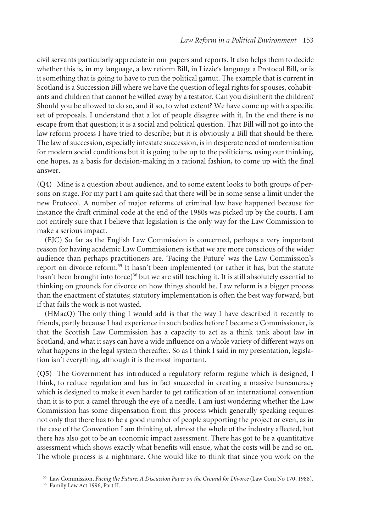civil servants particularly appreciate in our papers and reports. It also helps them to decide whether this is, in my language, a law reform Bill, in Lizzie's language a Protocol Bill, or is it something that is going to have to run the political gamut. The example that is current in Scotland is a Succession Bill where we have the question of legal rights for spouses, cohabitants and children that cannot be willed away by a testator. Can you disinherit the children? Should you be allowed to do so, and if so, to what extent? We have come up with a specific set of proposals. I understand that a lot of people disagree with it. In the end there is no escape from that question; it is a social and political question. That Bill will not go into the law reform process I have tried to describe; but it is obviously a Bill that should be there. The law of succession, especially intestate succession, is in desperate need of modernisation for modern social conditions but it is going to be up to the politicians, using our thinking, one hopes, as a basis for decision-making in a rational fashion, to come up with the final answer.

**(Q4)** Mine is a question about audience, and to some extent looks to both groups of persons on stage. For my part I am quite sad that there will be in some sense a limit under the new Protocol. A number of major reforms of criminal law have happened because for instance the draft criminal code at the end of the 1980s was picked up by the courts. I am not entirely sure that I believe that legislation is the only way for the Law Commission to make a serious impact.

(EJC) So far as the English Law Commission is concerned, perhaps a very important reason for having academic Law Commissioners is that we are more conscious of the wider audience than perhaps practitioners are. 'Facing the Future' was the Law Commission's report on divorce reform.35 It hasn't been implemented (or rather it has, but the statute hasn't been brought into force)<sup>36</sup> but we are still teaching it. It is still absolutely essential to thinking on grounds for divorce on how things should be. Law reform is a bigger process than the enactment of statutes; statutory implementation is often the best way forward, but if that fails the work is not wasted.

(HMacQ) The only thing I would add is that the way I have described it recently to friends, partly because I had experience in such bodies before I became a Commissioner, is that the Scottish Law Commission has a capacity to act as a think tank about law in Scotland, and what it says can have a wide influence on a whole variety of different ways on what happens in the legal system thereafter. So as I think I said in my presentation, legislation isn't everything, although it is the most important.

**(Q5)** The Government has introduced a regulatory reform regime which is designed, I think, to reduce regulation and has in fact succeeded in creating a massive bureaucracy which is designed to make it even harder to get ratification of an international convention than it is to put a camel through the eye of a needle. I am just wondering whether the Law Commission has some dispensation from this process which generally speaking requires not only that there has to be a good number of people supporting the project or even, as in the case of the Convention I am thinking of, almost the whole of the industry affected, but there has also got to be an economic impact assessment. There has got to be a quantitative assessment which shows exactly what benefits will ensue, what the costs will be and so on. The whole process is a nightmare. One would like to think that since you work on the

<sup>35</sup> Law Commission, *Facing the Future: A Discussion Paper on the Ground for Divorce* (Law Com No 170, 1988).

<sup>&</sup>lt;sup>36</sup> Family Law Act 1996, Part II.